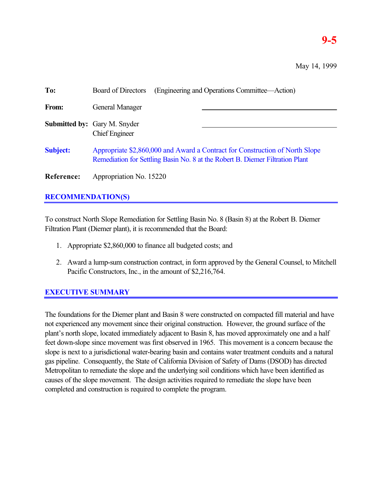# **9-5**

May 14, 1999

| To:             | (Engineering and Operations Committee—Action)<br>Board of Directors                                                                                           |  |  |
|-----------------|---------------------------------------------------------------------------------------------------------------------------------------------------------------|--|--|
| From:           | General Manager                                                                                                                                               |  |  |
|                 | <b>Submitted by:</b> Gary M. Snyder<br><b>Chief Engineer</b>                                                                                                  |  |  |
| <b>Subject:</b> | Appropriate \$2,860,000 and Award a Contract for Construction of North Slope<br>Remediation for Settling Basin No. 8 at the Robert B. Diemer Filtration Plant |  |  |
| Reference:      | Appropriation No. 15220                                                                                                                                       |  |  |

# **RECOMMENDATION(S)**

To construct North Slope Remediation for Settling Basin No. 8 (Basin 8) at the Robert B. Diemer Filtration Plant (Diemer plant), it is recommended that the Board:

- 1. Appropriate \$2,860,000 to finance all budgeted costs; and
- 2. Award a lump-sum construction contract, in form approved by the General Counsel, to Mitchell Pacific Constructors, Inc., in the amount of \$2,216,764.

# **EXECUTIVE SUMMARY**

The foundations for the Diemer plant and Basin 8 were constructed on compacted fill material and have not experienced any movement since their original construction. However, the ground surface of the plant's north slope, located immediately adjacent to Basin 8, has moved approximately one and a half feet down-slope since movement was first observed in 1965. This movement is a concern because the slope is next to a jurisdictional water-bearing basin and contains water treatment conduits and a natural gas pipeline. Consequently, the State of California Division of Safety of Dams (DSOD) has directed Metropolitan to remediate the slope and the underlying soil conditions which have been identified as causes of the slope movement. The design activities required to remediate the slope have been completed and construction is required to complete the program.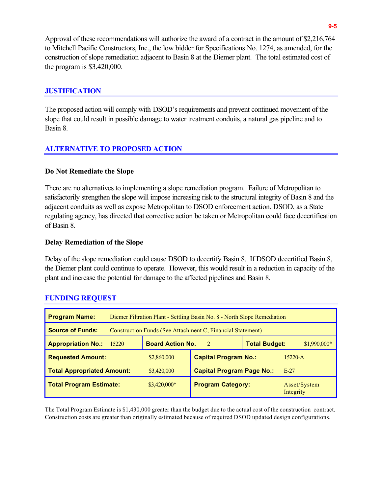Approval of these recommendations will authorize the award of a contract in the amount of \$2,216,764 to Mitchell Pacific Constructors, Inc., the low bidder for Specifications No. 1274, as amended, for the construction of slope remediation adjacent to Basin 8 at the Diemer plant. The total estimated cost of the program is \$3,420,000.

#### **JUSTIFICATION**

The proposed action will comply with DSOD's requirements and prevent continued movement of the slope that could result in possible damage to water treatment conduits, a natural gas pipeline and to Basin 8.

#### **ALTERNATIVE TO PROPOSED ACTION**

#### **Do Not Remediate the Slope**

There are no alternatives to implementing a slope remediation program. Failure of Metropolitan to satisfactorily strengthen the slope will impose increasing risk to the structural integrity of Basin 8 and the adjacent conduits as well as expose Metropolitan to DSOD enforcement action. DSOD, as a State regulating agency, has directed that corrective action be taken or Metropolitan could face decertification of Basin 8.

#### **Delay Remediation of the Slope**

Delay of the slope remediation could cause DSOD to decertify Basin 8. If DSOD decertified Basin 8, the Diemer plant could continue to operate. However, this would result in a reduction in capacity of the plant and increase the potential for damage to the affected pipelines and Basin 8.

| <b>Program Name:</b>              | Diemer Filtration Plant - Settling Basin No. 8 - North Slope Remediation |                                                                  |                                  |             |                           |
|-----------------------------------|--------------------------------------------------------------------------|------------------------------------------------------------------|----------------------------------|-------------|---------------------------|
| <b>Source of Funds:</b>           | Construction Funds (See Attachment C, Financial Statement)               |                                                                  |                                  |             |                           |
| <b>Appropriation No.:</b>         | 15220                                                                    | <b>Total Budget:</b><br><b>Board Action No.</b><br>$\mathcal{D}$ |                                  |             | $$1,990,000*$             |
| <b>Requested Amount:</b>          |                                                                          | \$2,860,000                                                      | <b>Capital Program No.:</b>      | $15220 - A$ |                           |
| <b>Total Appropriated Amount:</b> |                                                                          | \$3,420,000                                                      | <b>Capital Program Page No.:</b> |             | $E-27$                    |
| <b>Total Program Estimate:</b>    |                                                                          | $$3,420,000*$                                                    | <b>Program Category:</b>         |             | Asset/System<br>Integrity |

#### **FUNDING REQUEST**

The Total Program Estimate is \$1,430,000 greater than the budget due to the actual cost of the construction contract. Construction costs are greater than originally estimated because of required DSOD updated design configurations.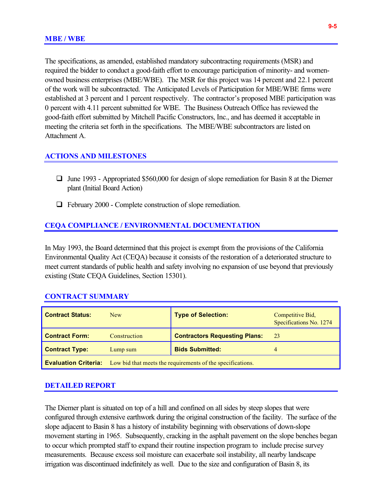The specifications, as amended, established mandatory subcontracting requirements (MSR) and required the bidder to conduct a good-faith effort to encourage participation of minority- and womenowned business enterprises (MBE/WBE). The MSR for this project was 14 percent and 22.1 percent of the work will be subcontracted. The Anticipated Levels of Participation for MBE/WBE firms were established at 3 percent and 1 percent respectively. The contractor's proposed MBE participation was 0 percent with 4.11 percent submitted for WBE. The Business Outreach Office has reviewed the good-faith effort submitted by Mitchell Pacific Constructors, Inc., and has deemed it acceptable in meeting the criteria set forth in the specifications. The MBE/WBE subcontractors are listed on Attachment A.

#### **ACTIONS AND MILESTONES**

- $\Box$  June 1993 Appropriated \$560,000 for design of slope remediation for Basin 8 at the Diemer plant (Initial Board Action)
- $\Box$  February 2000 Complete construction of slope remediation.

#### **CEQA COMPLIANCE / ENVIRONMENTAL DOCUMENTATION**

In May 1993, the Board determined that this project is exempt from the provisions of the California Environmental Quality Act (CEQA) because it consists of the restoration of a deteriorated structure to meet current standards of public health and safety involving no expansion of use beyond that previously existing (State CEQA Guidelines, Section 15301).

#### **CONTRACT SUMMARY**

| <b>Contract Status:</b> | <b>New</b>                                                                             | <b>Type of Selection:</b>            | Competitive Bid,<br>Specifications No. 1274 |  |
|-------------------------|----------------------------------------------------------------------------------------|--------------------------------------|---------------------------------------------|--|
| <b>Contract Form:</b>   | Construction                                                                           | <b>Contractors Requesting Plans:</b> | 23                                          |  |
| <b>Contract Type:</b>   | Lump sum                                                                               | <b>Bids Submitted:</b>               | 4                                           |  |
|                         | <b>Evaluation Criteria:</b> Low bid that meets the requirements of the specifications. |                                      |                                             |  |

#### **DETAILED REPORT**

The Diemer plant is situated on top of a hill and confined on all sides by steep slopes that were configured through extensive earthwork during the original construction of the facility. The surface of the slope adjacent to Basin 8 has a history of instability beginning with observations of down-slope movement starting in 1965. Subsequently, cracking in the asphalt pavement on the slope benches began to occur which prompted staff to expand their routine inspection program to include precise survey measurements. Because excess soil moisture can exacerbate soil instability, all nearby landscape irrigation was discontinued indefinitely as well. Due to the size and configuration of Basin 8, its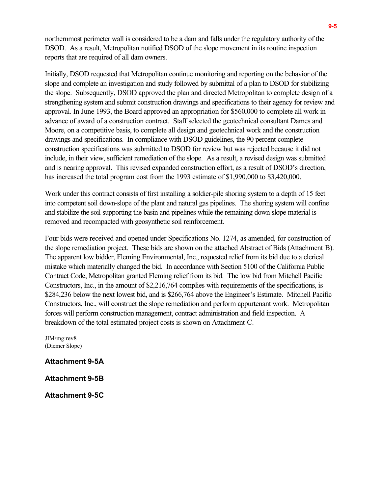northernmost perimeter wall is considered to be a dam and falls under the regulatory authority of the DSOD. As a result, Metropolitan notified DSOD of the slope movement in its routine inspection reports that are required of all dam owners.

Initially, DSOD requested that Metropolitan continue monitoring and reporting on the behavior of the slope and complete an investigation and study followed by submittal of a plan to DSOD for stabilizing the slope. Subsequently, DSOD approved the plan and directed Metropolitan to complete design of a strengthening system and submit construction drawings and specifications to their agency for review and approval. In June 1993, the Board approved an appropriation for \$560,000 to complete all work in advance of award of a construction contract. Staff selected the geotechnical consultant Dames and Moore, on a competitive basis, to complete all design and geotechnical work and the construction drawings and specifications. In compliance with DSOD guidelines, the 90 percent complete construction specifications was submitted to DSOD for review but was rejected because it did not include, in their view, sufficient remediation of the slope. As a result, a revised design was submitted and is nearing approval. This revised expanded construction effort, as a result of DSOD's direction, has increased the total program cost from the 1993 estimate of \$1,990,000 to \$3,420,000.

Work under this contract consists of first installing a soldier-pile shoring system to a depth of 15 feet into competent soil down-slope of the plant and natural gas pipelines. The shoring system will confine and stabilize the soil supporting the basin and pipelines while the remaining down slope material is removed and recompacted with geosynthetic soil reinforcement.

Four bids were received and opened under Specifications No. 1274, as amended, for construction of the slope remediation project. These bids are shown on the attached Abstract of Bids (Attachment B). The apparent low bidder, Fleming Environmental, Inc., requested relief from its bid due to a clerical mistake which materially changed the bid. In accordance with Section 5100 of the California Public Contract Code, Metropolitan granted Fleming relief from its bid. The low bid from Mitchell Pacific Constructors, Inc., in the amount of \$2,216,764 complies with requirements of the specifications, is \$284,236 below the next lowest bid, and is \$266,764 above the Engineer's Estimate. Mitchell Pacific Constructors, Inc., will construct the slope remediation and perform appurtenant work. Metropolitan forces will perform construction management, contract administration and field inspection. A breakdown of the total estimated project costs is shown on Attachment C.

JIM\mg:rev8 (Diemer Slope)

**Attachment 9-5A**

**Attachment 9-5B**

**Attachment 9-5C**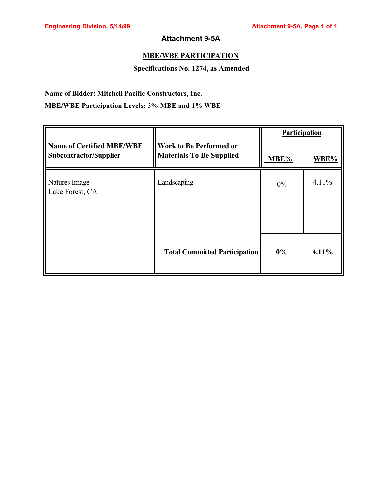## **Attachment 9-5A**

## **MBE/WBE PARTICIPATION**

#### **Specifications No. 1274, as Amended**

## **Name of Bidder: Mitchell Pacific Constructors, Inc.**

## **MBE/WBE Participation Levels: 3% MBE and 1% WBE**

|                                                            |                                                                   | Participation |       |
|------------------------------------------------------------|-------------------------------------------------------------------|---------------|-------|
| <b>Name of Certified MBE/WBE</b><br>Subcontractor/Supplier | <b>Work to Be Performed or</b><br><b>Materials To Be Supplied</b> | MBE%          | WBE%  |
| Natures Image<br>Lake Forest, CA                           | Landscaping                                                       | $0\%$         | 4.11% |
|                                                            | <b>Total Committed Participation</b>                              | $0\%$         | 4.11% |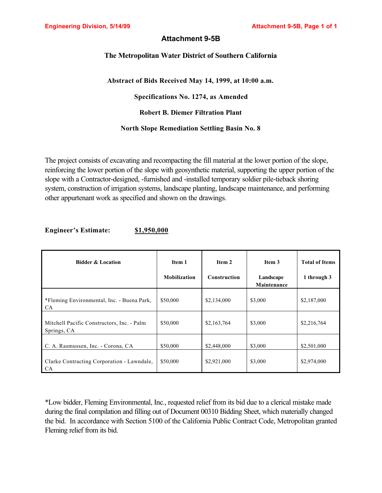## **Attachment 9-5B**

#### **The Metropolitan Water District of Southern California**

#### **Abstract of Bids Received May 14, 1999, at 10:00 a.m.**

**Specifications No. 1274, as Amended**

**Robert B. Diemer Filtration Plant**

#### **North Slope Remediation Settling Basin No. 8**

The project consists of excavating and recompacting the fill material at the lower portion of the slope, reinforcing the lower portion of the slope with geosynthetic material, supporting the upper portion of the slope with a Contractor-designed, -furnished and -installed temporary soldier pile-tieback shoring system, construction of irrigation systems, landscape planting, landscape maintenance, and performing other appurtenant work as specified and shown on the drawings.

#### **Engineer's Estimate: \$1,950,000**

| <b>Bidder &amp; Location</b>                              | Item 1<br><b>Mobilization</b> | Item 2<br><b>Construction</b> | Item 3                   | <b>Total of Items</b> |
|-----------------------------------------------------------|-------------------------------|-------------------------------|--------------------------|-----------------------|
|                                                           |                               |                               | Landscape<br>Maintenance | 1 through 3           |
| *Fleming Environmental, Inc. - Buena Park,<br>CA.         | \$50,000                      | \$2,134,000                   | \$3,000                  | \$2,187,000           |
| Mitchell Pacific Constructors, Inc. - Palm<br>Springs, CA | \$50,000                      | \$2,163,764                   | \$3,000                  | \$2,216,764           |
| C. A. Rasmussen, Inc. - Corona, CA                        | \$50,000                      | \$2,448,000                   | \$3,000                  | \$2,501,000           |
| Clarke Contracting Corporation - Lawndale,<br><b>CA</b>   | \$50,000                      | \$2,921,000                   | \$3,000                  | \$2,974,000           |

\*Low bidder, Fleming Environmental, Inc., requested relief from its bid due to a clerical mistake made during the final compilation and filling out of Document 00310 Bidding Sheet, which materially changed the bid. In accordance with Section 5100 of the California Public Contract Code, Metropolitan granted Fleming relief from its bid.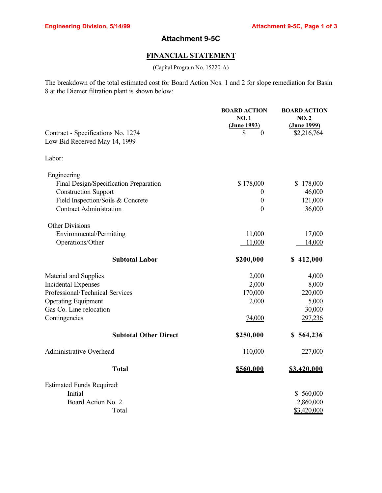# **Attachment 9-5C**

## **FINANCIAL STATEMENT**

(Capital Program No. 15220-A)

The breakdown of the total estimated cost for Board Action Nos. 1 and 2 for slope remediation for Basin 8 at the Diemer filtration plant is shown below:

|                                        | <b>BOARD ACTION</b>        | <b>BOARD ACTION</b> |
|----------------------------------------|----------------------------|---------------------|
|                                        | <b>NO.1</b><br>(June 1993) | NO.2<br>(June 1999) |
| Contract - Specifications No. 1274     | S<br>$\theta$              | \$2,216,764         |
| Low Bid Received May 14, 1999          |                            |                     |
| Labor:                                 |                            |                     |
| Engineering                            |                            |                     |
| Final Design/Specification Preparation | \$178,000                  | \$178,000           |
| <b>Construction Support</b>            | $\theta$                   | 46,000              |
| Field Inspection/Soils & Concrete      | $\boldsymbol{0}$           | 121,000             |
| <b>Contract Administration</b>         | $\boldsymbol{0}$           | 36,000              |
| <b>Other Divisions</b>                 |                            |                     |
| Environmental/Permitting               | 11,000                     | 17,000              |
| Operations/Other                       | 11,000                     | 14,000              |
| <b>Subtotal Labor</b>                  | \$200,000                  | \$412,000           |
| Material and Supplies                  | 2,000                      | 4,000               |
| <b>Incidental Expenses</b>             | 2,000                      | 8,000               |
| Professional/Technical Services        | 170,000                    | 220,000             |
| <b>Operating Equipment</b>             | 2,000                      | 5,000               |
| Gas Co. Line relocation                |                            | 30,000              |
| Contingencies                          | 74,000                     | 297,236             |
| <b>Subtotal Other Direct</b>           | \$250,000                  | \$564,236           |
| <b>Administrative Overhead</b>         | 110,000                    | 227,000             |
| <b>Total</b>                           | \$560,000                  | \$3,420,000         |
| <b>Estimated Funds Required:</b>       |                            |                     |
| Initial                                |                            | \$560,000           |
| Board Action No. 2                     |                            | 2,860,000           |
| Total                                  |                            | \$3,420,000         |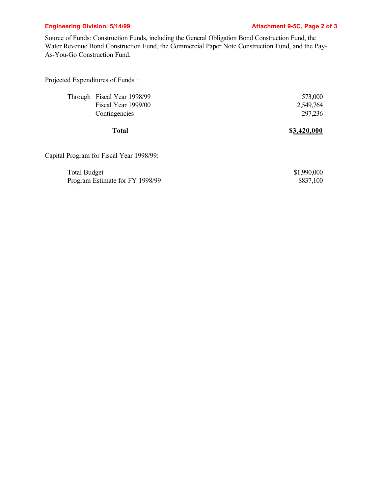## **Engineering Division, 5/14/99 Constraining Properties Attachment 9-5C, Page 2 of 3**

Source of Funds: Construction Funds, including the General Obligation Bond Construction Fund, the Water Revenue Bond Construction Fund, the Commercial Paper Note Construction Fund, and the Pay-As-You-Go Construction Fund.

Projected Expenditures of Funds :

| 573,000     |
|-------------|
| 2,549,764   |
| 297,236     |
| \$3.420.000 |
|             |
| \$1,990,000 |
| \$837,100   |
|             |